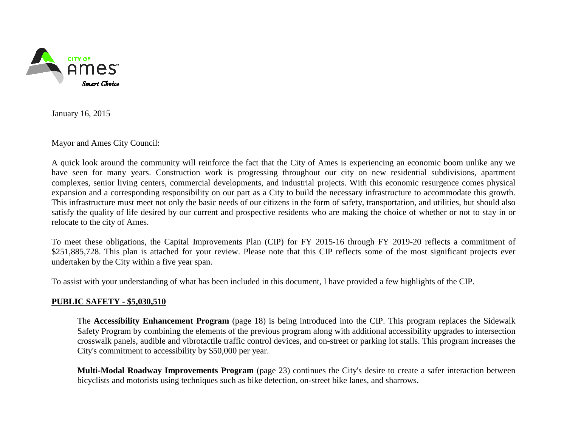

January 16, 2015

Mayor and Ames City Council:

A quick look around the community will reinforce the fact that the City of Ames is experiencing an economic boom unlike any we have seen for many years. Construction work is progressing throughout our city on new residential subdivisions, apartment complexes, senior living centers, commercial developments, and industrial projects. With this economic resurgence comes physical expansion and a corresponding responsibility on our part as a City to build the necessary infrastructure to accommodate this growth. This infrastructure must meet not only the basic needs of our citizens in the form of safety, transportation, and utilities, but should also satisfy the quality of life desired by our current and prospective residents who are making the choice of whether or not to stay in or relocate to the city of Ames.

To meet these obligations, the Capital Improvements Plan (CIP) for FY 2015-16 through FY 2019-20 reflects a commitment of \$251,885,728. This plan is attached for your review. Please note that this CIP reflects some of the most significant projects ever undertaken by the City within a five year span.

To assist with your understanding of what has been included in this document, I have provided a few highlights of the CIP.

# **PUBLIC SAFETY - \$5,030,510**

The **Accessibility Enhancement Program** (page 18) is being introduced into the CIP. This program replaces the Sidewalk Safety Program by combining the elements of the previous program along with additional accessibility upgrades to intersection crosswalk panels, audible and vibrotactile traffic control devices, and on-street or parking lot stalls. This program increases the City's commitment to accessibility by \$50,000 per year.

**Multi-Modal Roadway Improvements Program** (page 23) continues the City's desire to create a safer interaction between bicyclists and motorists using techniques such as bike detection, on-street bike lanes, and sharrows.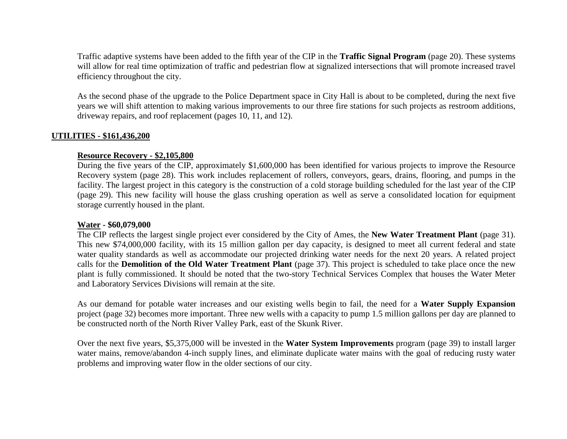Traffic adaptive systems have been added to the fifth year of the CIP in the **Traffic Signal Program** (page 20). These systems will allow for real time optimization of traffic and pedestrian flow at signalized intersections that will promote increased travel efficiency throughout the city.

As the second phase of the upgrade to the Police Department space in City Hall is about to be completed, during the next five years we will shift attention to making various improvements to our three fire stations for such projects as restroom additions, driveway repairs, and roof replacement (pages 10, 11, and 12).

## **UTILITIES - \$161,436,200**

## **Resource Recovery - \$2,105,800**

During the five years of the CIP, approximately \$1,600,000 has been identified for various projects to improve the Resource Recovery system (page 28). This work includes replacement of rollers, conveyors, gears, drains, flooring, and pumps in the facility. The largest project in this category is the construction of a cold storage building scheduled for the last year of the CIP (page 29). This new facility will house the glass crushing operation as well as serve a consolidated location for equipment storage currently housed in the plant.

#### **Water - \$60,079,000**

The CIP reflects the largest single project ever considered by the City of Ames, the **New Water Treatment Plant** (page 31). This new \$74,000,000 facility, with its 15 million gallon per day capacity, is designed to meet all current federal and state water quality standards as well as accommodate our projected drinking water needs for the next 20 years. A related project calls for the **Demolition of the Old Water Treatment Plant** (page 37). This project is scheduled to take place once the new plant is fully commissioned. It should be noted that the two-story Technical Services Complex that houses the Water Meter and Laboratory Services Divisions will remain at the site.

As our demand for potable water increases and our existing wells begin to fail, the need for a **Water Supply Expansion** project (page 32) becomes more important. Three new wells with a capacity to pump 1.5 million gallons per day are planned to be constructed north of the North River Valley Park, east of the Skunk River.

Over the next five years, \$5,375,000 will be invested in the **Water System Improvements** program (page 39) to install larger water mains, remove/abandon 4-inch supply lines, and eliminate duplicate water mains with the goal of reducing rusty water problems and improving water flow in the older sections of our city.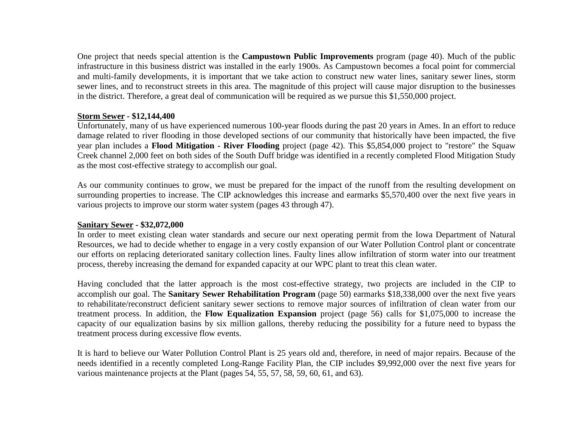One project that needs special attention is the **Campustown Public Improvements** program (page 40). Much of the public infrastructure in this business district was installed in the early 1900s. As Campustown becomes a focal point for commercial and multi-family developments, it is important that we take action to construct new water lines, sanitary sewer lines, storm sewer lines, and to reconstruct streets in this area. The magnitude of this project will cause major disruption to the businesses in the district. Therefore, a great deal of communication will be required as we pursue this \$1,550,000 project.

## **Storm Sewer - \$12,144,400**

Unfortunately, many of us have experienced numerous 100-year floods during the past 20 years in Ames. In an effort to reduce damage related to river flooding in those developed sections of our community that historically have been impacted, the five year plan includes a **Flood Mitigation - River Flooding** project (page 42). This \$5,854,000 project to "restore" the Squaw Creek channel 2,000 feet on both sides of the South Duff bridge was identified in a recently completed Flood Mitigation Study as the most cost-effective strategy to accomplish our goal.

As our community continues to grow, we must be prepared for the impact of the runoff from the resulting development on surrounding properties to increase. The CIP acknowledges this increase and earmarks \$5,570,400 over the next five years in various projects to improve our storm water system (pages 43 through 47).

# **Sanitary Sewer - \$32,072,000**

In order to meet existing clean water standards and secure our next operating permit from the Iowa Department of Natural Resources, we had to decide whether to engage in a very costly expansion of our Water Pollution Control plant or concentrate our efforts on replacing deteriorated sanitary collection lines. Faulty lines allow infiltration of storm water into our treatment process, thereby increasing the demand for expanded capacity at our WPC plant to treat this clean water.

Having concluded that the latter approach is the most cost-effective strategy, two projects are included in the CIP to accomplish our goal. The **Sanitary Sewer Rehabilitation Program** (page 50) earmarks \$18,338,000 over the next five years to rehabilitate/reconstruct deficient sanitary sewer sections to remove major sources of infiltration of clean water from our treatment process. In addition, the **Flow Equalization Expansion** project (page 56) calls for \$1,075,000 to increase the capacity of our equalization basins by six million gallons, thereby reducing the possibility for a future need to bypass the treatment process during excessive flow events.

It is hard to believe our Water Pollution Control Plant is 25 years old and, therefore, in need of major repairs. Because of the needs identified in a recently completed Long-Range Facility Plan, the CIP includes \$9,992,000 over the next five years for various maintenance projects at the Plant (pages 54, 55, 57, 58, 59, 60, 61, and 63).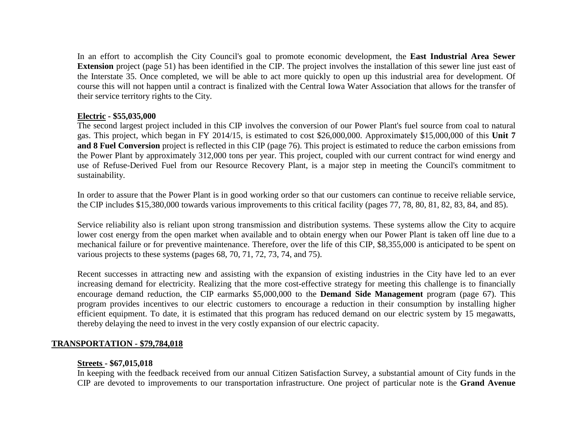In an effort to accomplish the City Council's goal to promote economic development, the **East Industrial Area Sewer Extension** project (page 51) has been identified in the CIP. The project involves the installation of this sewer line just east of the Interstate 35. Once completed, we will be able to act more quickly to open up this industrial area for development. Of course this will not happen until a contract is finalized with the Central Iowa Water Association that allows for the transfer of their service territory rights to the City.

# **Electric - \$55,035,000**

The second largest project included in this CIP involves the conversion of our Power Plant's fuel source from coal to natural gas. This project, which began in FY 2014/15, is estimated to cost \$26,000,000. Approximately \$15,000,000 of this **Unit 7 and 8 Fuel Conversion** project is reflected in this CIP (page 76). This project is estimated to reduce the carbon emissions from the Power Plant by approximately 312,000 tons per year. This project, coupled with our current contract for wind energy and use of Refuse-Derived Fuel from our Resource Recovery Plant, is a major step in meeting the Council's commitment to sustainability.

In order to assure that the Power Plant is in good working order so that our customers can continue to receive reliable service, the CIP includes \$15,380,000 towards various improvements to this critical facility (pages 77, 78, 80, 81, 82, 83, 84, and 85).

Service reliability also is reliant upon strong transmission and distribution systems. These systems allow the City to acquire lower cost energy from the open market when available and to obtain energy when our Power Plant is taken off line due to a mechanical failure or for preventive maintenance. Therefore, over the life of this CIP, \$8,355,000 is anticipated to be spent on various projects to these systems (pages 68, 70, 71, 72, 73, 74, and 75).

Recent successes in attracting new and assisting with the expansion of existing industries in the City have led to an ever increasing demand for electricity. Realizing that the more cost-effective strategy for meeting this challenge is to financially encourage demand reduction, the CIP earmarks \$5,000,000 to the **Demand Side Management** program (page 67). This program provides incentives to our electric customers to encourage a reduction in their consumption by installing higher efficient equipment. To date, it is estimated that this program has reduced demand on our electric system by 15 megawatts, thereby delaying the need to invest in the very costly expansion of our electric capacity.

# **TRANSPORTATION - \$79,784,018**

# **Streets - \$67,015,018**

In keeping with the feedback received from our annual Citizen Satisfaction Survey, a substantial amount of City funds in the CIP are devoted to improvements to our transportation infrastructure. One project of particular note is the **Grand Avenue**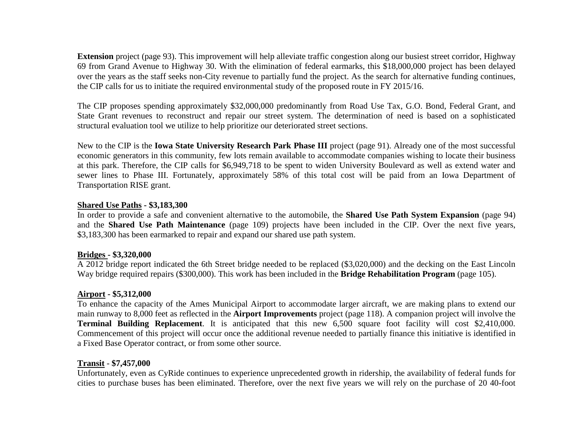**Extension** project (page 93). This improvement will help alleviate traffic congestion along our busiest street corridor, Highway 69 from Grand Avenue to Highway 30. With the elimination of federal earmarks, this \$18,000,000 project has been delayed over the years as the staff seeks non-City revenue to partially fund the project. As the search for alternative funding continues, the CIP calls for us to initiate the required environmental study of the proposed route in FY 2015/16.

The CIP proposes spending approximately \$32,000,000 predominantly from Road Use Tax, G.O. Bond, Federal Grant, and State Grant revenues to reconstruct and repair our street system. The determination of need is based on a sophisticated structural evaluation tool we utilize to help prioritize our deteriorated street sections.

New to the CIP is the **Iowa State University Research Park Phase III** project (page 91). Already one of the most successful economic generators in this community, few lots remain available to accommodate companies wishing to locate their business at this park. Therefore, the CIP calls for \$6,949,718 to be spent to widen University Boulevard as well as extend water and sewer lines to Phase III. Fortunately, approximately 58% of this total cost will be paid from an Iowa Department of Transportation RISE grant.

# **Shared Use Paths - \$3,183,300**

In order to provide a safe and convenient alternative to the automobile, the **Shared Use Path System Expansion** (page 94) and the **Shared Use Path Maintenance** (page 109) projects have been included in the CIP. Over the next five years, \$3,183,300 has been earmarked to repair and expand our shared use path system.

# **Bridges - \$3,320,000**

A 2012 bridge report indicated the 6th Street bridge needed to be replaced (\$3,020,000) and the decking on the East Lincoln Way bridge required repairs (\$300,000). This work has been included in the **Bridge Rehabilitation Program** (page 105).

# **Airport - \$5,312,000**

To enhance the capacity of the Ames Municipal Airport to accommodate larger aircraft, we are making plans to extend our main runway to 8,000 feet as reflected in the **Airport Improvements** project (page 118). A companion project will involve the **Terminal Building Replacement**. It is anticipated that this new 6,500 square foot facility will cost \$2,410,000. Commencement of this project will occur once the additional revenue needed to partially finance this initiative is identified in a Fixed Base Operator contract, or from some other source.

# **Transit** - **\$7,457,000**

Unfortunately, even as CyRide continues to experience unprecedented growth in ridership, the availability of federal funds for cities to purchase buses has been eliminated. Therefore, over the next five years we will rely on the purchase of 20 40-foot